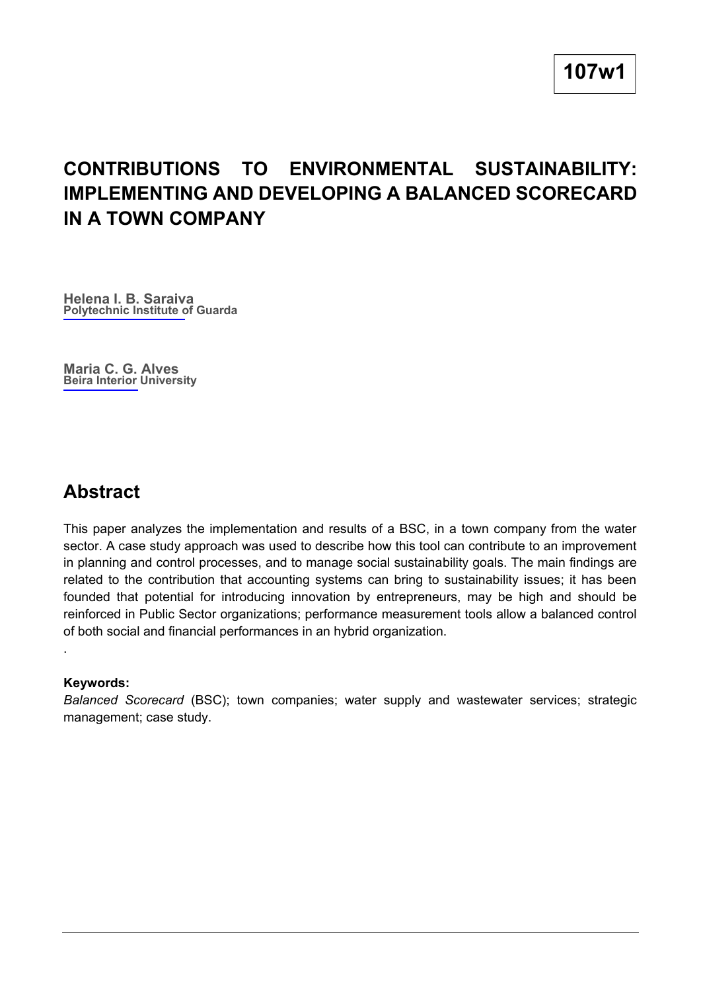# **CONTRIBUTIONS TO ENVIRONMENTAL SUSTAINABILITY: IMPLEMENTING AND DEVELOPING A BALANCED SCORECARD IN A TOWN COMPANY**

**Helena I. B. Saraiva Polytechnic Institute of Guarda**

**Maria C. G. Alves Beira Interior University**

## **Abstract**

This paper analyzes the implementation and results of a BSC, in a town company from the water sector. A case study approach was used to describe how this tool can contribute to an improvement in planning and control processes, and to manage social sustainability goals. The main findings are related to the contribution that accounting systems can bring to sustainability issues; it has been founded that potential for introducing innovation by entrepreneurs, may be high and should be reinforced in Public Sector organizations; performance measurement tools allow a balanced control of both social and financial performances in an hybrid organization.

#### **Keywords:**

.

*Balanced Scorecard* (BSC); town companies; water supply and wastewater services; strategic management; case study.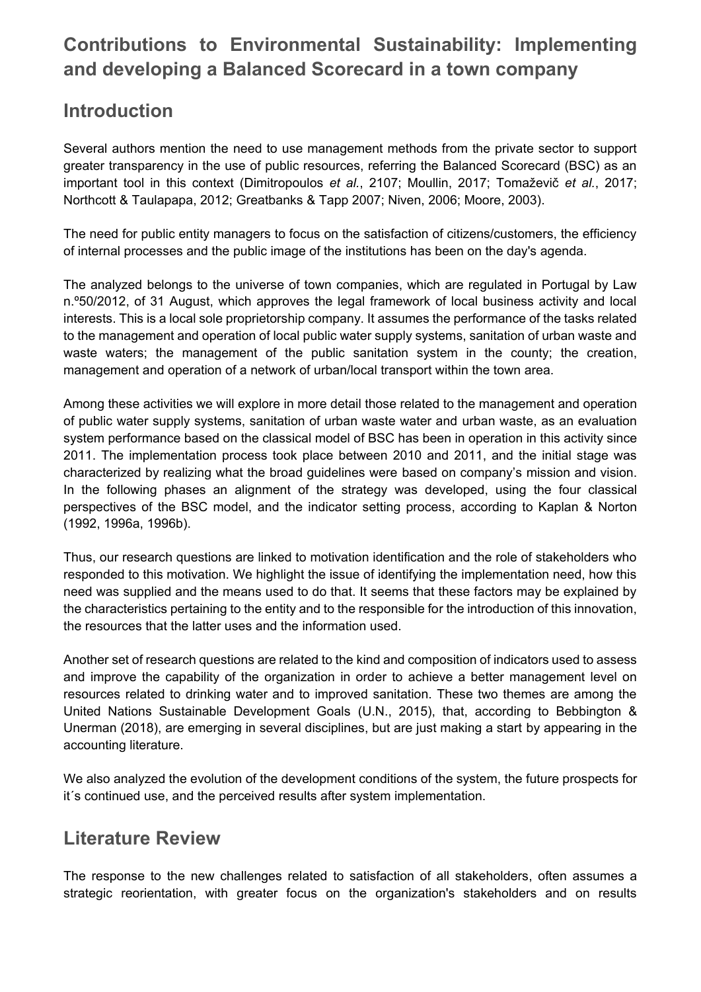# **Contributions to Environmental Sustainability: Implementing and developing a Balanced Scorecard in a town company**

## **Introduction**

Several authors mention the need to use management methods from the private sector to support greater transparency in the use of public resources, referring the Balanced Scorecard (BSC) as an important tool in this context (Dimitropoulos *et al.*, 2107; Moullin, 2017; Tomaževič *et al.*, 2017; Northcott & Taulapapa, 2012; Greatbanks & Tapp 2007; Niven, 2006; Moore, 2003).

The need for public entity managers to focus on the satisfaction of citizens/customers, the efficiency of internal processes and the public image of the institutions has been on the day's agenda.

The analyzed belongs to the universe of town companies, which are regulated in Portugal by Law n.º50/2012, of 31 August, which approves the legal framework of local business activity and local interests. This is a local sole proprietorship company. It assumes the performance of the tasks related to the management and operation of local public water supply systems, sanitation of urban waste and waste waters; the management of the public sanitation system in the county; the creation, management and operation of a network of urban/local transport within the town area.

Among these activities we will explore in more detail those related to the management and operation of public water supply systems, sanitation of urban waste water and urban waste, as an evaluation system performance based on the classical model of BSC has been in operation in this activity since 2011. The implementation process took place between 2010 and 2011, and the initial stage was characterized by realizing what the broad guidelines were based on company's mission and vision. In the following phases an alignment of the strategy was developed, using the four classical perspectives of the BSC model, and the indicator setting process, according to Kaplan & Norton (1992, 1996a, 1996b).

Thus, our research questions are linked to motivation identification and the role of stakeholders who responded to this motivation. We highlight the issue of identifying the implementation need, how this need was supplied and the means used to do that. It seems that these factors may be explained by the characteristics pertaining to the entity and to the responsible for the introduction of this innovation, the resources that the latter uses and the information used.

Another set of research questions are related to the kind and composition of indicators used to assess and improve the capability of the organization in order to achieve a better management level on resources related to drinking water and to improved sanitation. These two themes are among the United Nations Sustainable Development Goals (U.N., 2015), that, according to Bebbington & Unerman (2018), are emerging in several disciplines, but are just making a start by appearing in the accounting literature.

We also analyzed the evolution of the development conditions of the system, the future prospects for it´s continued use, and the perceived results after system implementation.

## **Literature Review**

The response to the new challenges related to satisfaction of all stakeholders, often assumes a strategic reorientation, with greater focus on the organization's stakeholders and on results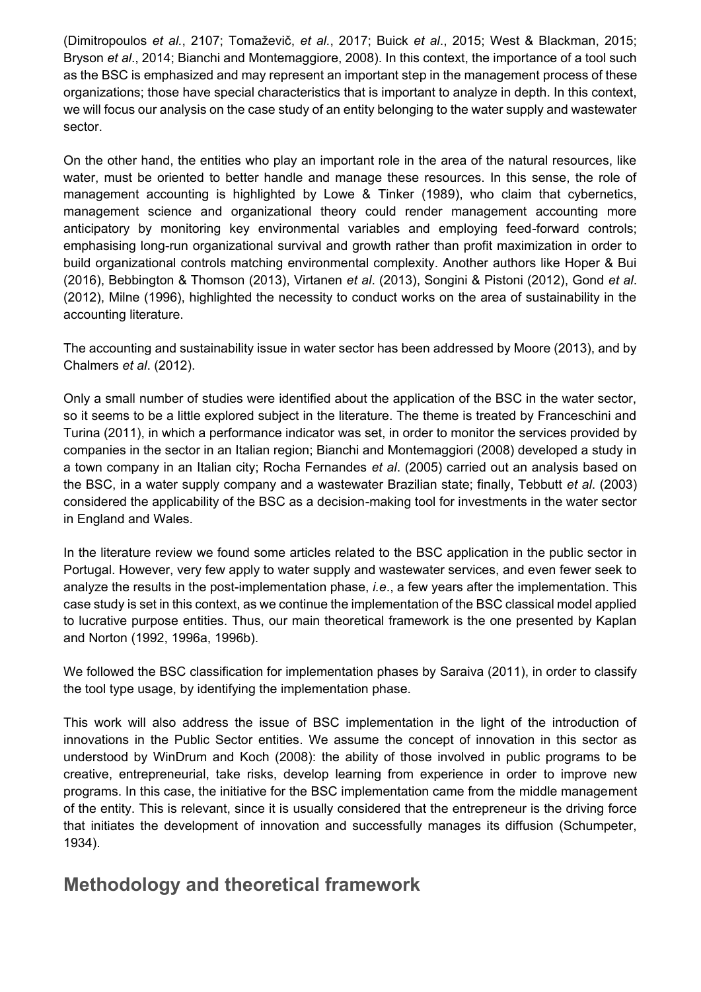(Dimitropoulos *et al.*, 2107; Tomaževič, *et al.*, 2017; Buick *et al*., 2015; West & Blackman, 2015; Bryson *et al*., 2014; Bianchi and Montemaggiore, 2008). In this context, the importance of a tool such as the BSC is emphasized and may represent an important step in the management process of these organizations; those have special characteristics that is important to analyze in depth. In this context, we will focus our analysis on the case study of an entity belonging to the water supply and wastewater sector.

On the other hand, the entities who play an important role in the area of the natural resources, like water, must be oriented to better handle and manage these resources. In this sense, the role of management accounting is highlighted by Lowe & Tinker (1989), who claim that cybernetics, management science and organizational theory could render management accounting more anticipatory by monitoring key environmental variables and employing feed-forward controls; emphasising long-run organizational survival and growth rather than profit maximization in order to build organizational controls matching environmental complexity. Another authors like Hoper & Bui (2016), Bebbington & Thomson (2013), Virtanen *et al*. (2013), Songini & Pistoni (2012), Gond *et al*. (2012), Milne (1996), highlighted the necessity to conduct works on the area of sustainability in the accounting literature.

The accounting and sustainability issue in water sector has been addressed by Moore (2013), and by Chalmers *et al*. (2012).

Only a small number of studies were identified about the application of the BSC in the water sector, so it seems to be a little explored subject in the literature. The theme is treated by Franceschini and Turina (2011), in which a performance indicator was set, in order to monitor the services provided by companies in the sector in an Italian region; Bianchi and Montemaggiori (2008) developed a study in a town company in an Italian city; Rocha Fernandes *et al*. (2005) carried out an analysis based on the BSC, in a water supply company and a wastewater Brazilian state; finally, Tebbutt *et al*. (2003) considered the applicability of the BSC as a decision-making tool for investments in the water sector in England and Wales.

In the literature review we found some articles related to the BSC application in the public sector in Portugal. However, very few apply to water supply and wastewater services, and even fewer seek to analyze the results in the post-implementation phase, *i.e*., a few years after the implementation. This case study is set in this context, as we continue the implementation of the BSC classical model applied to lucrative purpose entities. Thus, our main theoretical framework is the one presented by Kaplan and Norton (1992, 1996a, 1996b).

We followed the BSC classification for implementation phases by Saraiva (2011), in order to classify the tool type usage, by identifying the implementation phase.

This work will also address the issue of BSC implementation in the light of the introduction of innovations in the Public Sector entities. We assume the concept of innovation in this sector as understood by WinDrum and Koch (2008): the ability of those involved in public programs to be creative, entrepreneurial, take risks, develop learning from experience in order to improve new programs. In this case, the initiative for the BSC implementation came from the middle management of the entity. This is relevant, since it is usually considered that the entrepreneur is the driving force that initiates the development of innovation and successfully manages its diffusion (Schumpeter, 1934).

## **Methodology and theoretical framework**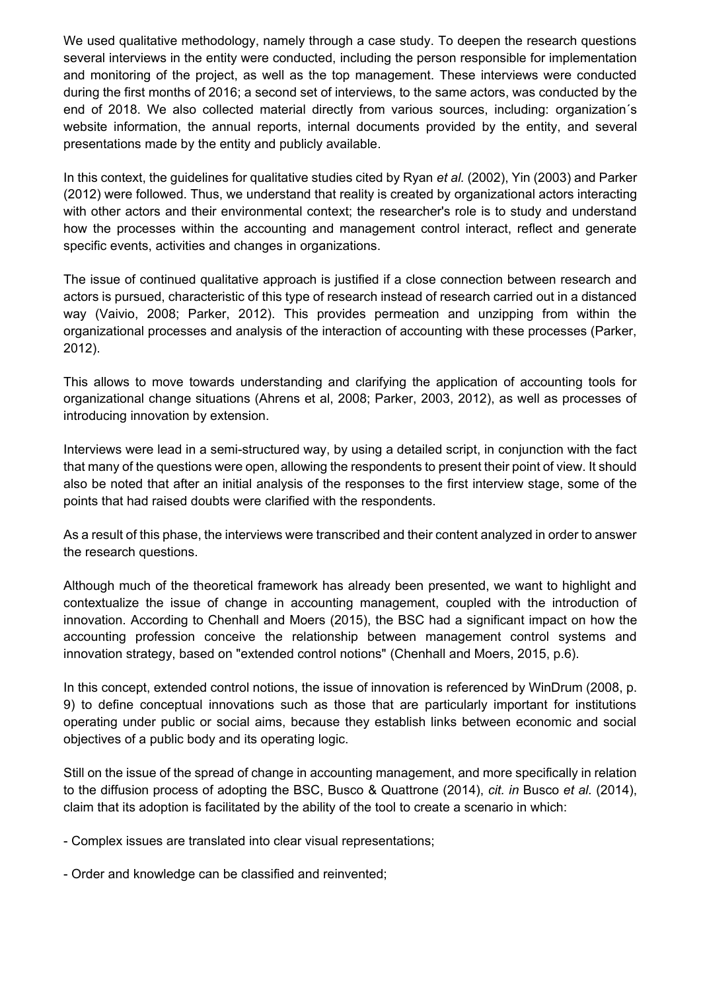We used qualitative methodology, namely through a case study. To deepen the research questions several interviews in the entity were conducted, including the person responsible for implementation and monitoring of the project, as well as the top management. These interviews were conducted during the first months of 2016; a second set of interviews, to the same actors, was conducted by the end of 2018. We also collected material directly from various sources, including: organization´s website information, the annual reports, internal documents provided by the entity, and several presentations made by the entity and publicly available.

In this context, the guidelines for qualitative studies cited by Ryan *et al.* (2002), Yin (2003) and Parker (2012) were followed. Thus, we understand that reality is created by organizational actors interacting with other actors and their environmental context; the researcher's role is to study and understand how the processes within the accounting and management control interact, reflect and generate specific events, activities and changes in organizations.

The issue of continued qualitative approach is justified if a close connection between research and actors is pursued, characteristic of this type of research instead of research carried out in a distanced way (Vaivio, 2008; Parker, 2012). This provides permeation and unzipping from within the organizational processes and analysis of the interaction of accounting with these processes (Parker, 2012).

This allows to move towards understanding and clarifying the application of accounting tools for organizational change situations (Ahrens et al, 2008; Parker, 2003, 2012), as well as processes of introducing innovation by extension.

Interviews were lead in a semi-structured way, by using a detailed script, in conjunction with the fact that many of the questions were open, allowing the respondents to present their point of view. It should also be noted that after an initial analysis of the responses to the first interview stage, some of the points that had raised doubts were clarified with the respondents.

As a result of this phase, the interviews were transcribed and their content analyzed in order to answer the research questions.

Although much of the theoretical framework has already been presented, we want to highlight and contextualize the issue of change in accounting management, coupled with the introduction of innovation. According to Chenhall and Moers (2015), the BSC had a significant impact on how the accounting profession conceive the relationship between management control systems and innovation strategy, based on "extended control notions" (Chenhall and Moers, 2015, p.6).

In this concept, extended control notions, the issue of innovation is referenced by WinDrum (2008, p. 9) to define conceptual innovations such as those that are particularly important for institutions operating under public or social aims, because they establish links between economic and social objectives of a public body and its operating logic.

Still on the issue of the spread of change in accounting management, and more specifically in relation to the diffusion process of adopting the BSC, Busco & Quattrone (2014), *cit. in* Busco *et al.* (2014), claim that its adoption is facilitated by the ability of the tool to create a scenario in which:

- Complex issues are translated into clear visual representations;

- Order and knowledge can be classified and reinvented;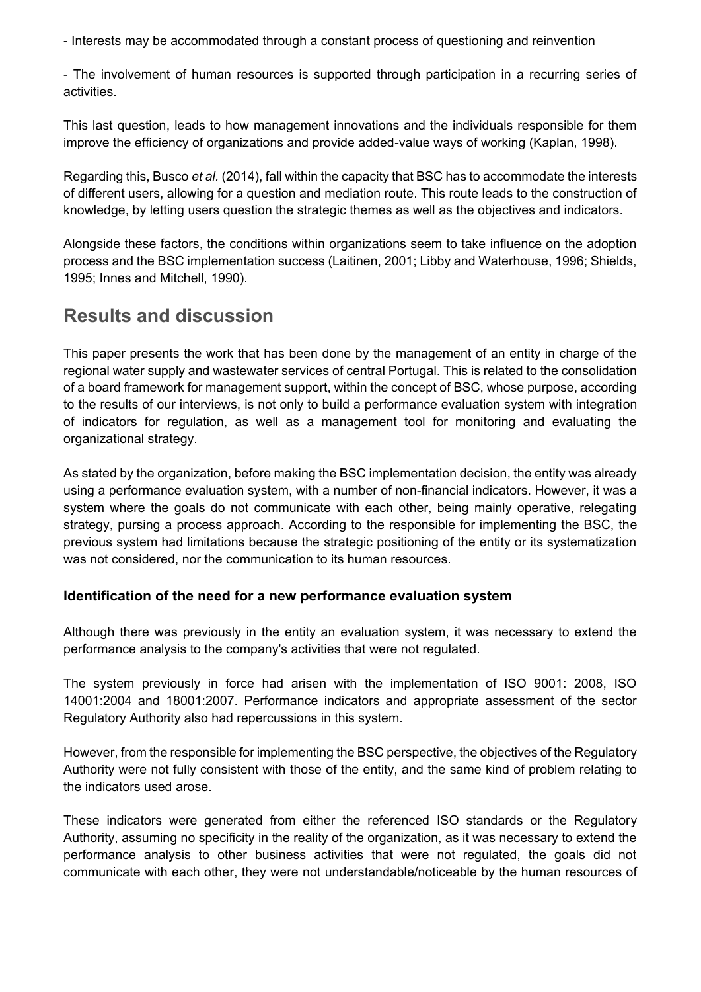- Interests may be accommodated through a constant process of questioning and reinvention

- The involvement of human resources is supported through participation in a recurring series of activities.

This last question, leads to how management innovations and the individuals responsible for them improve the efficiency of organizations and provide added-value ways of working (Kaplan, 1998).

Regarding this, Busco *et al.* (2014), fall within the capacity that BSC has to accommodate the interests of different users, allowing for a question and mediation route. This route leads to the construction of knowledge, by letting users question the strategic themes as well as the objectives and indicators.

Alongside these factors, the conditions within organizations seem to take influence on the adoption process and the BSC implementation success (Laitinen, 2001; Libby and Waterhouse, 1996; Shields, 1995; Innes and Mitchell, 1990).

# **Results and discussion**

This paper presents the work that has been done by the management of an entity in charge of the regional water supply and wastewater services of central Portugal. This is related to the consolidation of a board framework for management support, within the concept of BSC, whose purpose, according to the results of our interviews, is not only to build a performance evaluation system with integration of indicators for regulation, as well as a management tool for monitoring and evaluating the organizational strategy.

As stated by the organization, before making the BSC implementation decision, the entity was already using a performance evaluation system, with a number of non-financial indicators. However, it was a system where the goals do not communicate with each other, being mainly operative, relegating strategy, pursing a process approach. According to the responsible for implementing the BSC, the previous system had limitations because the strategic positioning of the entity or its systematization was not considered, nor the communication to its human resources.

### **Identification of the need for a new performance evaluation system**

Although there was previously in the entity an evaluation system, it was necessary to extend the performance analysis to the company's activities that were not regulated.

The system previously in force had arisen with the implementation of ISO 9001: 2008, ISO 14001:2004 and 18001:2007. Performance indicators and appropriate assessment of the sector Regulatory Authority also had repercussions in this system.

However, from the responsible for implementing the BSC perspective, the objectives of the Regulatory Authority were not fully consistent with those of the entity, and the same kind of problem relating to the indicators used arose.

These indicators were generated from either the referenced ISO standards or the Regulatory Authority, assuming no specificity in the reality of the organization, as it was necessary to extend the performance analysis to other business activities that were not regulated, the goals did not communicate with each other, they were not understandable/noticeable by the human resources of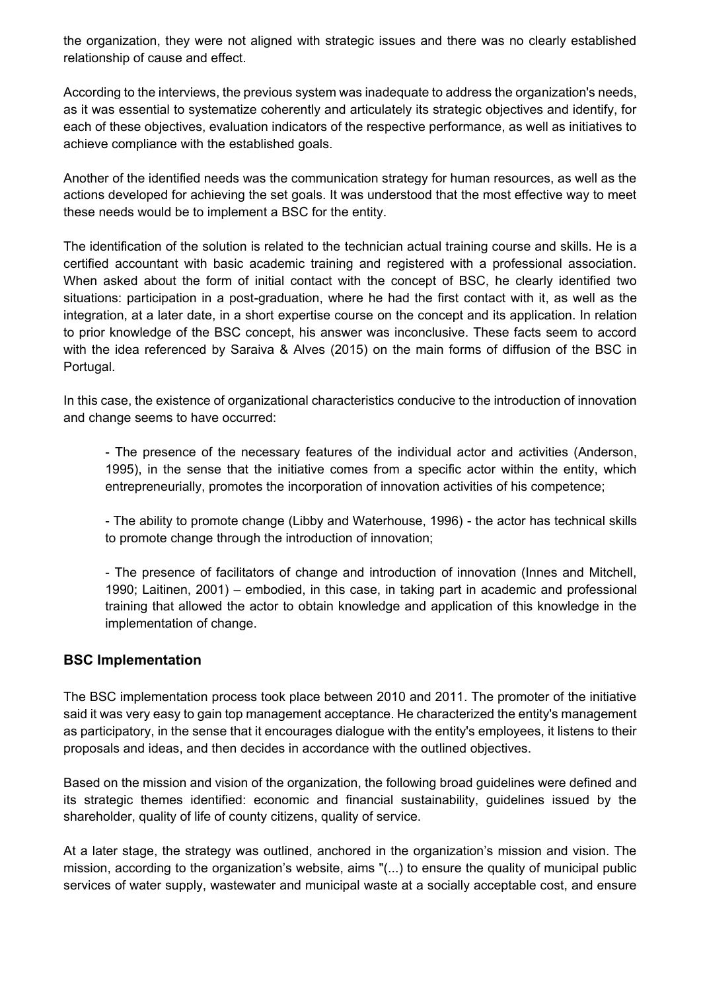the organization, they were not aligned with strategic issues and there was no clearly established relationship of cause and effect.

According to the interviews, the previous system was inadequate to address the organization's needs, as it was essential to systematize coherently and articulately its strategic objectives and identify, for each of these objectives, evaluation indicators of the respective performance, as well as initiatives to achieve compliance with the established goals.

Another of the identified needs was the communication strategy for human resources, as well as the actions developed for achieving the set goals. It was understood that the most effective way to meet these needs would be to implement a BSC for the entity.

The identification of the solution is related to the technician actual training course and skills. He is a certified accountant with basic academic training and registered with a professional association. When asked about the form of initial contact with the concept of BSC, he clearly identified two situations: participation in a post-graduation, where he had the first contact with it, as well as the integration, at a later date, in a short expertise course on the concept and its application. In relation to prior knowledge of the BSC concept, his answer was inconclusive. These facts seem to accord with the idea referenced by Saraiva & Alves (2015) on the main forms of diffusion of the BSC in Portugal.

In this case, the existence of organizational characteristics conducive to the introduction of innovation and change seems to have occurred:

- The presence of the necessary features of the individual actor and activities (Anderson, 1995), in the sense that the initiative comes from a specific actor within the entity, which entrepreneurially, promotes the incorporation of innovation activities of his competence;

- The ability to promote change (Libby and Waterhouse, 1996) - the actor has technical skills to promote change through the introduction of innovation;

- The presence of facilitators of change and introduction of innovation (Innes and Mitchell, 1990; Laitinen, 2001) – embodied, in this case, in taking part in academic and professional training that allowed the actor to obtain knowledge and application of this knowledge in the implementation of change.

### **BSC Implementation**

The BSC implementation process took place between 2010 and 2011. The promoter of the initiative said it was very easy to gain top management acceptance. He characterized the entity's management as participatory, in the sense that it encourages dialogue with the entity's employees, it listens to their proposals and ideas, and then decides in accordance with the outlined objectives.

Based on the mission and vision of the organization, the following broad guidelines were defined and its strategic themes identified: economic and financial sustainability, guidelines issued by the shareholder, quality of life of county citizens, quality of service.

At a later stage, the strategy was outlined, anchored in the organization's mission and vision. The mission, according to the organization's website, aims "(...) to ensure the quality of municipal public services of water supply, wastewater and municipal waste at a socially acceptable cost, and ensure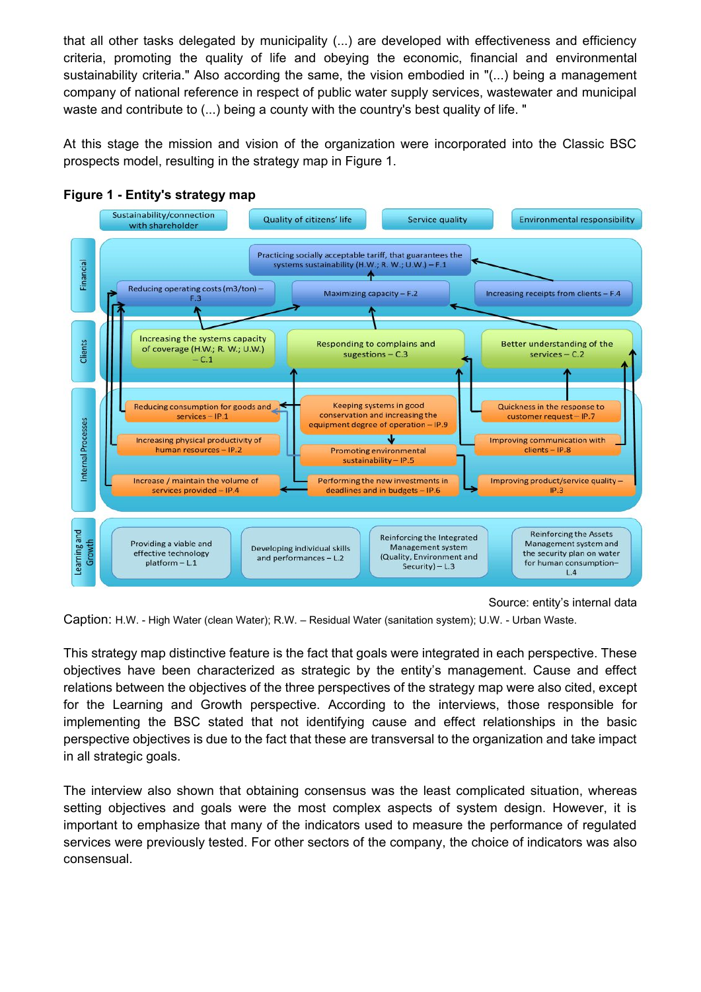that all other tasks delegated by municipality (...) are developed with effectiveness and efficiency criteria, promoting the quality of life and obeying the economic, financial and environmental sustainability criteria." Also according the same, the vision embodied in "(...) being a management company of national reference in respect of public water supply services, wastewater and municipal waste and contribute to (...) being a county with the country's best quality of life. "

At this stage the mission and vision of the organization were incorporated into the Classic BSC prospects model, resulting in the strategy map in Figure 1.



### **Figure 1 - Entity's strategy map**

Source: entity's internal data

Caption: H.W. - High Water (clean Water); R.W. – Residual Water (sanitation system); U.W. - Urban Waste.

This strategy map distinctive feature is the fact that goals were integrated in each perspective. These objectives have been characterized as strategic by the entity's management. Cause and effect relations between the objectives of the three perspectives of the strategy map were also cited, except for the Learning and Growth perspective. According to the interviews, those responsible for implementing the BSC stated that not identifying cause and effect relationships in the basic perspective objectives is due to the fact that these are transversal to the organization and take impact in all strategic goals.

The interview also shown that obtaining consensus was the least complicated situation, whereas setting objectives and goals were the most complex aspects of system design. However, it is important to emphasize that many of the indicators used to measure the performance of regulated services were previously tested. For other sectors of the company, the choice of indicators was also consensual.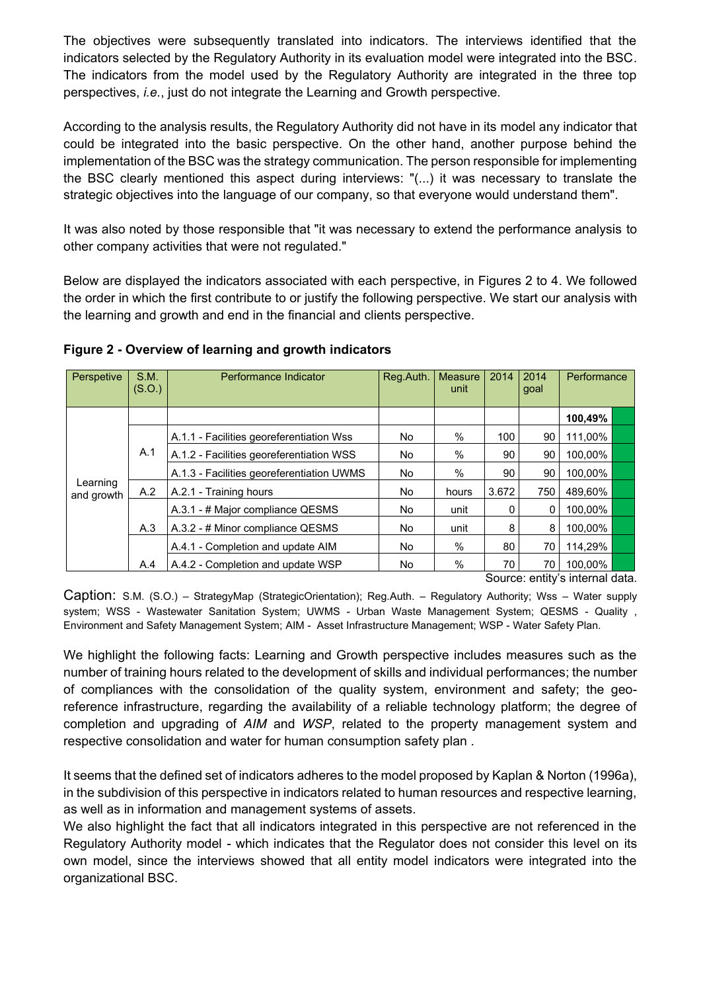The objectives were subsequently translated into indicators. The interviews identified that the indicators selected by the Regulatory Authority in its evaluation model were integrated into the BSC. The indicators from the model used by the Regulatory Authority are integrated in the three top perspectives, *i.e.*, just do not integrate the Learning and Growth perspective.

According to the analysis results, the Regulatory Authority did not have in its model any indicator that could be integrated into the basic perspective. On the other hand, another purpose behind the implementation of the BSC was the strategy communication. The person responsible for implementing the BSC clearly mentioned this aspect during interviews: "(...) it was necessary to translate the strategic objectives into the language of our company, so that everyone would understand them".

It was also noted by those responsible that "it was necessary to extend the performance analysis to other company activities that were not regulated."

Below are displayed the indicators associated with each perspective, in Figures 2 to 4. We followed the order in which the first contribute to or justify the following perspective. We start our analysis with the learning and growth and end in the financial and clients perspective.

| Perspetive             | S.M.<br>(S.O.) | Performance Indicator                     | Reg.Auth. | <b>Measure</b><br>unit | 2014         | 2014<br>goal | Performance  |  |
|------------------------|----------------|-------------------------------------------|-----------|------------------------|--------------|--------------|--------------|--|
|                        |                |                                           |           |                        |              |              | 100,49%      |  |
|                        |                | A.1.1 - Facilities georeferentiation Wss  | No.       | $\frac{0}{0}$          | 100          | 90           | 111,00%      |  |
|                        | A.1            | A.1.2 - Facilities georeferentiation WSS  | No.       | $\%$                   | 90           | 90           | 100.00%      |  |
|                        |                | A.1.3 - Facilities georeferentiation UWMS | No        | $\frac{0}{0}$          | 90           | 90           | 100.00%      |  |
| Learning<br>and growth | A.2            | A.2.1 - Training hours                    | No        | hours                  | 3.672        | 750          | 489,60%      |  |
|                        |                | A.3.1 - # Major compliance QESMS          | No        | unit                   | 0            | 0            | 100.00%      |  |
|                        | A.3            | A.3.2 - # Minor compliance QESMS          | No        | unit                   | 8            | 8            | 100.00%      |  |
|                        |                | A.4.1 - Completion and update AIM         | No        | $\%$                   | 80           | 70           | 114,29%      |  |
|                        | A.4            | A.4.2 - Completion and update WSP         | <b>No</b> | %                      | 70<br>$\sim$ | 70           | 100.00%<br>. |  |

#### **Figure 2 - Overview of learning and growth indicators**

Source: entity's internal data.

Caption: S.M. (S.O.) – StrategyMap (StrategicOrientation); Reg.Auth. – Regulatory Authority; Wss – Water supply system; WSS - Wastewater Sanitation System; UWMS - Urban Waste Management System; QESMS - Quality , Environment and Safety Management System; AIM - Asset Infrastructure Management; WSP - Water Safety Plan.

We highlight the following facts: Learning and Growth perspective includes measures such as the number of training hours related to the development of skills and individual performances; the number of compliances with the consolidation of the quality system, environment and safety; the georeference infrastructure, regarding the availability of a reliable technology platform; the degree of completion and upgrading of *AIM* and *WSP*, related to the property management system and respective consolidation and water for human consumption safety plan .

It seems that the defined set of indicators adheres to the model proposed by Kaplan & Norton (1996a), in the subdivision of this perspective in indicators related to human resources and respective learning, as well as in information and management systems of assets.

We also highlight the fact that all indicators integrated in this perspective are not referenced in the Regulatory Authority model - which indicates that the Regulator does not consider this level on its own model, since the interviews showed that all entity model indicators were integrated into the organizational BSC.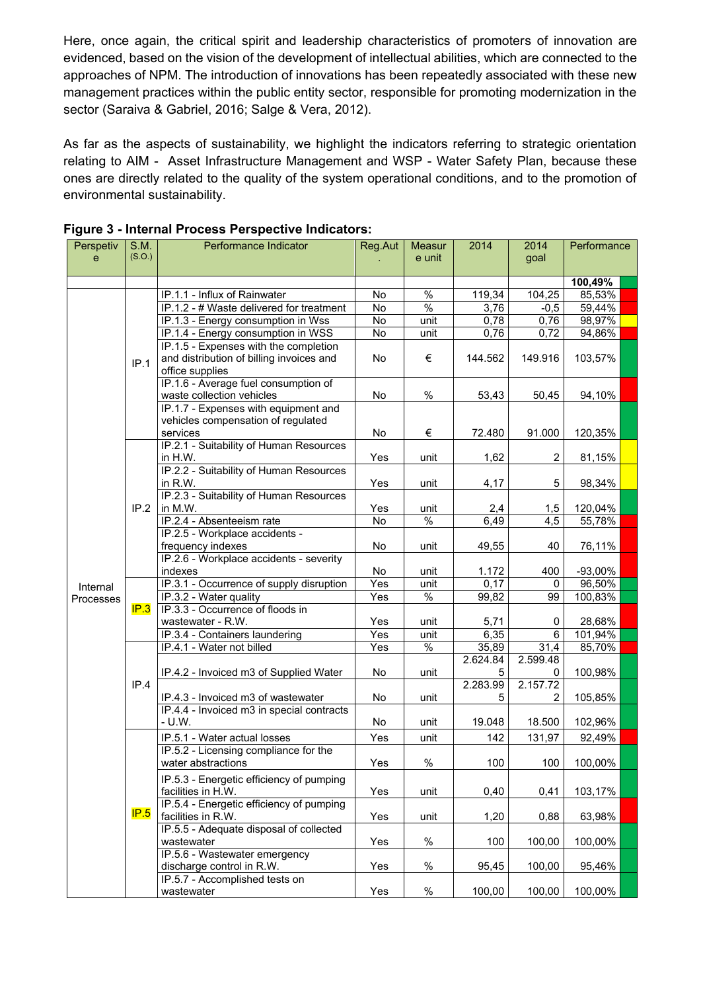Here, once again, the critical spirit and leadership characteristics of promoters of innovation are evidenced, based on the vision of the development of intellectual abilities, which are connected to the approaches of NPM. The introduction of innovations has been repeatedly associated with these new management practices within the public entity sector, responsible for promoting modernization in the sector (Saraiva & Gabriel, 2016; Salge & Vera, 2012).

As far as the aspects of sustainability, we highlight the indicators referring to strategic orientation relating to AIM - Asset Infrastructure Management and WSP - Water Safety Plan, because these ones are directly related to the quality of the system operational conditions, and to the promotion of environmental sustainability.

| Perspetiv | S.M.   | Performance Indicator                                                           | Reg.Aut        | Measur        | 2014     | 2014             | Performance |  |
|-----------|--------|---------------------------------------------------------------------------------|----------------|---------------|----------|------------------|-------------|--|
| e         | (S.O.) |                                                                                 |                | e unit        |          | goal             |             |  |
|           |        |                                                                                 |                |               |          |                  |             |  |
|           |        |                                                                                 |                |               |          |                  | 100,49%     |  |
|           |        | IP.1.1 - Influx of Rainwater                                                    | No             | $\%$          | 119,34   | 104,25           | 85,53%      |  |
|           |        | IP.1.2 - # Waste delivered for treatment                                        | $\overline{N}$ | $\frac{0}{0}$ | 3,76     | $-0,5$           | 59,44%      |  |
|           |        | IP.1.3 - Energy consumption in Wss                                              | $\overline{N}$ | unit          | 0,78     | 0,76             | 98,97%      |  |
|           |        | IP.1.4 - Energy consumption in WSS                                              | $\overline{N}$ | unit          | 0,76     | 0,72             | 94,86%      |  |
|           |        | IP.1.5 - Expenses with the completion                                           |                |               |          |                  |             |  |
|           | IP.1   | and distribution of billing invoices and                                        | <b>No</b>      | €             | 144.562  | 149.916          | 103,57%     |  |
|           |        | office supplies                                                                 |                |               |          |                  |             |  |
|           |        | IP.1.6 - Average fuel consumption of                                            |                |               |          |                  |             |  |
|           |        | waste collection vehicles                                                       | No             | $\%$          | 53,43    | 50,45            | 94,10%      |  |
|           |        | IP.1.7 - Expenses with equipment and                                            |                |               |          |                  |             |  |
|           |        | vehicles compensation of regulated                                              |                |               |          |                  |             |  |
|           |        | services                                                                        | No             | €             | 72.480   | 91.000           | 120,35%     |  |
|           |        | IP.2.1 - Suitability of Human Resources                                         |                |               |          |                  |             |  |
|           |        | in H.W.                                                                         | Yes            | unit          | 1,62     | $\overline{2}$   | 81,15%      |  |
|           |        | IP.2.2 - Suitability of Human Resources                                         |                |               |          |                  |             |  |
|           |        | in R.W.                                                                         | Yes            | unit          | 4,17     | 5                | 98,34%      |  |
|           |        | IP.2.3 - Suitability of Human Resources                                         |                |               |          |                  |             |  |
|           | IP.2   | in M.W.                                                                         | Yes            | unit          | 2,4      | 1,5              | 120,04%     |  |
|           |        | IP.2.4 - Absenteeism rate                                                       | $\overline{N}$ | $\frac{0}{0}$ | 6,49     | $\overline{4,5}$ | 55,78%      |  |
|           |        | IP.2.5 - Workplace accidents -                                                  |                |               |          |                  |             |  |
|           |        | frequency indexes                                                               | No             | unit          | 49,55    | 40               | 76,11%      |  |
|           |        | IP.2.6 - Workplace accidents - severity                                         |                |               |          |                  |             |  |
|           |        | indexes                                                                         | No             | unit          | 1.172    | 400              | -93,00%     |  |
| Internal  | IP.3   | IP.3.1 - Occurrence of supply disruption                                        | Yes            | unit          | 0,17     | 0                | 96,50%      |  |
| Processes |        | IP.3.2 - Water quality                                                          | Yes            | $\%$          | 99,82    | 99               | 100,83%     |  |
|           |        | IP.3.3 - Occurrence of floods in                                                |                |               |          |                  |             |  |
|           |        | wastewater - R.W.                                                               | Yes            | unit          | 5,71     | 0                | 28,68%      |  |
|           |        | IP.3.4 - Containers laundering                                                  | Yes            | unit          | 6,35     | $\,6$            | 101,94%     |  |
|           |        | IP.4.1 - Water not billed                                                       | Yes            | $\frac{0}{6}$ | 35,89    | 31,4             | 85,70%      |  |
|           | IP.4   |                                                                                 |                |               | 2.624.84 | 2.599.48         |             |  |
|           |        | IP.4.2 - Invoiced m3 of Supplied Water                                          | No             | unit          | 5        | 0                | 100,98%     |  |
|           |        |                                                                                 |                |               | 2.283.99 | 2.157.72<br>2    |             |  |
|           |        | IP.4.3 - Invoiced m3 of wastewater<br>IP.4.4 - Invoiced m3 in special contracts | No             | unit          | 5        |                  | 105,85%     |  |
|           |        | $- U.W.$                                                                        | No             | unit          |          |                  |             |  |
|           |        |                                                                                 |                |               | 19.048   | 18.500           | 102,96%     |  |
|           |        | IP.5.1 - Water actual losses                                                    | Yes            | unit          | 142      | 131,97           | 92,49%      |  |
|           |        | IP.5.2 - Licensing compliance for the                                           |                |               |          |                  |             |  |
|           |        | water abstractions                                                              | Yes            | $\%$          | 100      | 100              | 100,00%     |  |
|           |        | IP.5.3 - Energetic efficiency of pumping                                        |                |               |          |                  |             |  |
|           |        | facilities in H.W.                                                              | Yes            | unit          | 0,40     | 0,41             | 103,17%     |  |
|           |        | IP.5.4 - Energetic efficiency of pumping                                        |                |               |          |                  |             |  |
|           | IP.5   | facilities in R.W.                                                              | Yes            | unit          | 1,20     | 0,88             | 63,98%      |  |
|           |        | IP.5.5 - Adequate disposal of collected                                         |                |               |          |                  |             |  |
|           |        | wastewater                                                                      | Yes            | $\%$          | 100      | 100,00           | 100,00%     |  |
|           |        | IP.5.6 - Wastewater emergency                                                   |                |               |          |                  |             |  |
|           |        | discharge control in R.W.                                                       | Yes            | $\%$          | 95,45    | 100,00           | 95,46%      |  |
|           |        | IP.5.7 - Accomplished tests on                                                  |                |               |          |                  |             |  |
|           |        | wastewater                                                                      | Yes            | $\%$          | 100,00   | 100,00           | 100,00%     |  |

#### **Figure 3 - Internal Process Perspective Indicators:**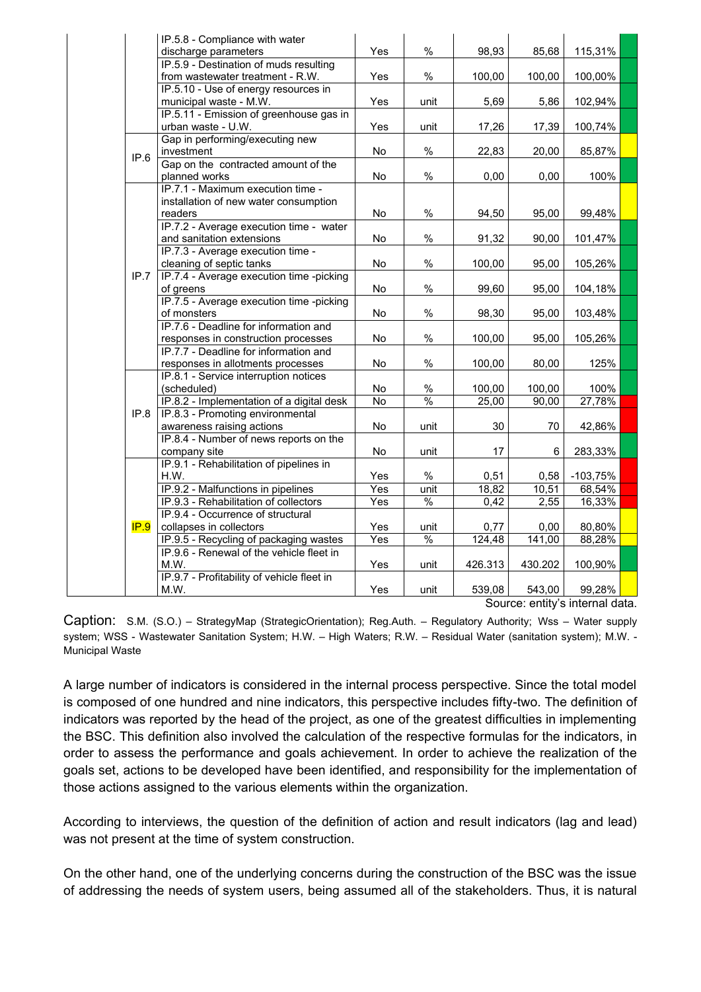| IP.5.8 - Compliance with water                   |                |               |         |         |            |  |
|--------------------------------------------------|----------------|---------------|---------|---------|------------|--|
| discharge parameters                             | Yes            | $\%$          | 98,93   | 85,68   | 115,31%    |  |
| IP.5.9 - Destination of muds resulting           |                |               |         |         |            |  |
| from wastewater treatment - R.W.                 | Yes            | $\%$          | 100,00  | 100,00  | 100,00%    |  |
| IP.5.10 - Use of energy resources in             |                |               |         |         |            |  |
| municipal waste - M.W.                           | Yes            | unit          | 5,69    | 5,86    | 102,94%    |  |
| IP.5.11 - Emission of greenhouse gas in          |                |               |         |         |            |  |
| urban waste - U.W.                               | Yes            | unit          | 17,26   | 17,39   | 100,74%    |  |
| Gap in performing/executing new                  |                |               |         |         |            |  |
| investment<br>IP.6                               | No             | %             | 22,83   | 20,00   | 85,87%     |  |
| Gap on the contracted amount of the              |                |               |         |         |            |  |
| planned works                                    | No.            | %             | 0,00    | 0,00    | 100%       |  |
| IP.7.1 - Maximum execution time -                |                |               |         |         |            |  |
| installation of new water consumption            |                |               |         |         |            |  |
| readers                                          | No             | $\%$          | 94,50   | 95,00   | 99,48%     |  |
| IP.7.2 - Average execution time - water          |                |               |         |         |            |  |
| and sanitation extensions                        | No             | $\%$          | 91,32   | 90,00   | 101,47%    |  |
| IP.7.3 - Average execution time -                |                |               |         |         |            |  |
| cleaning of septic tanks                         | No             | %             | 100,00  | 95,00   | 105,26%    |  |
| IP.7<br>IP.7.4 - Average execution time -picking |                |               |         |         |            |  |
| of greens                                        | No             | $\%$          | 99,60   | 95,00   | 104,18%    |  |
| IP.7.5 - Average execution time -picking         |                |               |         |         |            |  |
| of monsters                                      | No             | $\%$          | 98,30   | 95,00   | 103,48%    |  |
| IP.7.6 - Deadline for information and            |                |               |         |         |            |  |
| responses in construction processes              | No             | $\%$          | 100,00  | 95,00   | 105,26%    |  |
| IP.7.7 - Deadline for information and            |                |               |         |         |            |  |
| responses in allotments processes                | No             | $\%$          | 100,00  | 80,00   | 125%       |  |
| IP.8.1 - Service interruption notices            |                |               |         |         |            |  |
| (scheduled)                                      | No             | $\%$          | 100,00  | 100,00  | 100%       |  |
| IP.8.2 - Implementation of a digital desk        | $\overline{N}$ | $\frac{0}{0}$ | 25,00   | 90,00   | 27,78%     |  |
| IP.8.3 - Promoting environmental<br>IP.8         |                |               |         |         |            |  |
| awareness raising actions                        | No             | unit          | 30      | 70      | 42,86%     |  |
| IP.8.4 - Number of news reports on the           |                |               |         |         |            |  |
| company site                                     | No             | unit          | 17      | 6       | 283,33%    |  |
| IP.9.1 - Rehabilitation of pipelines in          |                |               |         |         |            |  |
| H.W.                                             | Yes            | $\%$          | 0,51    | 0,58    | $-103,75%$ |  |
| IP.9.2 - Malfunctions in pipelines               | Yes            | unit          | 18,82   | 10,51   | 68,54%     |  |
| IP.9.3 - Rehabilitation of collectors            | Yes            | $\frac{0}{0}$ | 0,42    | 2,55    | 16,33%     |  |
| IP.9.4 - Occurrence of structural                |                |               |         |         |            |  |
| IP.9<br>collapses in collectors                  | Yes            | unit          | 0,77    | 0,00    | 80,80%     |  |
| IP.9.5 - Recycling of packaging wastes           | Yes            | $\frac{0}{6}$ | 124,48  | 141,00  | 88,28%     |  |
| IP.9.6 - Renewal of the vehicle fleet in         |                |               |         |         |            |  |
| M.W.                                             | Yes            | unit          | 426.313 | 430.202 | 100,90%    |  |
| IP.9.7 - Profitability of vehicle fleet in       |                |               |         |         |            |  |
| M.W.                                             | Yes            | unit          | 539,08  | 543,00  | 99,28%     |  |

Source: entity's internal data.

Caption: S.M. (S.O.) – StrategyMap (StrategicOrientation); Reg.Auth. – Regulatory Authority; Wss – Water supply system; WSS - Wastewater Sanitation System; H.W. – High Waters; R.W. – Residual Water (sanitation system); M.W. - Municipal Waste

A large number of indicators is considered in the internal process perspective. Since the total model is composed of one hundred and nine indicators, this perspective includes fifty-two. The definition of indicators was reported by the head of the project, as one of the greatest difficulties in implementing the BSC. This definition also involved the calculation of the respective formulas for the indicators, in order to assess the performance and goals achievement. In order to achieve the realization of the goals set, actions to be developed have been identified, and responsibility for the implementation of those actions assigned to the various elements within the organization.

According to interviews, the question of the definition of action and result indicators (lag and lead) was not present at the time of system construction.

On the other hand, one of the underlying concerns during the construction of the BSC was the issue of addressing the needs of system users, being assumed all of the stakeholders. Thus, it is natural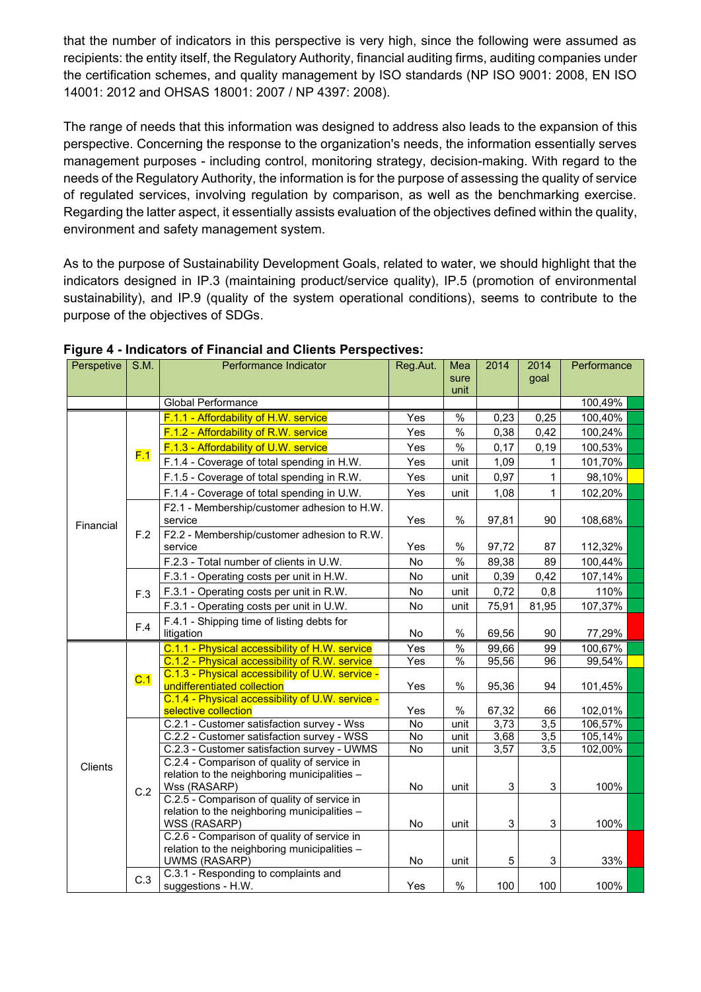that the number of indicators in this perspective is very high, since the following were assumed as recipients: the entity itself, the Regulatory Authority, financial auditing firms, auditing companies under the certification schemes, and quality management by ISO standards (NP ISO 9001: 2008, EN ISO 14001: 2012 and OHSAS 18001: 2007 / NP 4397: 2008).

The range of needs that this information was designed to address also leads to the expansion of this perspective. Concerning the response to the organization's needs, the information essentially serves management purposes - including control, monitoring strategy, decision-making. With regard to the needs of the Regulatory Authority, the information is for the purpose of assessing the quality of service of regulated services, involving regulation by comparison, as well as the benchmarking exercise. Regarding the latter aspect, it essentially assists evaluation of the objectives defined within the quality, environment and safety management system.

As to the purpose of Sustainability Development Goals, related to water, we should highlight that the indicators designed in IP.3 (maintaining product/service quality), IP.5 (promotion of environmental sustainability), and IP.9 (quality of the system operational conditions), seems to contribute to the purpose of the objectives of SDGs.

| Perspetive | S.M. | Performance Indicator                                                                    | Reg.Aut.                    | Mea           | 2014           | 2014                    | Performance        |
|------------|------|------------------------------------------------------------------------------------------|-----------------------------|---------------|----------------|-------------------------|--------------------|
|            |      |                                                                                          |                             | sure          |                | qoal                    |                    |
|            |      |                                                                                          |                             | unit          |                |                         |                    |
|            |      | <b>Global Performance</b>                                                                |                             |               |                |                         | 100,49%            |
|            |      | F.1.1 - Affordability of H.W. service                                                    | Yes                         | $\%$          | 0,23           | 0,25                    | 100,40%            |
|            |      | F.1.2 - Affordability of R.W. service                                                    | Yes                         | $\%$          | 0,38           | 0,42                    | 100,24%            |
|            | F.1  | F.1.3 - Affordability of U.W. service                                                    | Yes                         | $\%$          | 0,17           | 0, 19                   | 100,53%            |
|            |      | F.1.4 - Coverage of total spending in H.W.                                               | Yes                         | unit          | 1,09           | 1                       | 101,70%            |
|            |      | F.1.5 - Coverage of total spending in R.W.                                               | Yes                         | unit          | 0,97           | $\mathbf{1}$            | 98,10%             |
|            |      | F.1.4 - Coverage of total spending in U.W.                                               | Yes                         | unit          | 1,08           | $\mathbf{1}$            | 102,20%            |
|            |      | F2.1 - Membership/customer adhesion to H.W.                                              |                             |               |                |                         |                    |
| Financial  |      | service                                                                                  | Yes                         | %             | 97,81          | 90                      | 108,68%            |
|            | F.2  | F2.2 - Membership/customer adhesion to R.W.                                              |                             |               |                |                         |                    |
|            |      | service                                                                                  | Yes                         | %             | 97,72          | 87                      | 112,32%            |
|            |      | F.2.3 - Total number of clients in U.W.                                                  | No                          | $\%$          | 89,38          | 89                      | 100,44%            |
|            |      | F.3.1 - Operating costs per unit in H.W.                                                 | No                          | unit          | 0,39           | 0,42                    | 107,14%            |
|            | F.3  | F.3.1 - Operating costs per unit in R.W.                                                 | <b>No</b>                   | unit          | 0,72           | 0,8                     | 110%               |
|            |      | F.3.1 - Operating costs per unit in U.W.                                                 | No                          | unit          | 75,91          | 81,95                   | 107,37%            |
|            | F.4  | F.4.1 - Shipping time of listing debts for                                               |                             |               |                |                         |                    |
|            |      | litigation                                                                               | No                          | %             | 69,56          | 90                      | 77,29%             |
|            |      | C.1.1 - Physical accessibility of H.W. service                                           | Yes                         | $\frac{0}{6}$ | 99,66          | 99                      | 100,67%            |
|            |      | C.1.2 - Physical accessibility of R.W. service                                           | Yes                         | %             | 95,56          | 96                      | 99,54%             |
|            | C.1  | C.1.3 - Physical accessibility of U.W. service -                                         |                             |               |                |                         |                    |
|            |      | undifferentiated collection                                                              | Yes                         | %             | 95,36          | 94                      | 101,45%            |
|            |      | C.1.4 - Physical accessibility of U.W. service -                                         |                             |               |                |                         |                    |
|            |      | selective collection                                                                     | Yes                         | %             | 67,32          | 66                      | 102,01%            |
|            |      | C.2.1 - Customer satisfaction survey - Wss<br>C.2.2 - Customer satisfaction survey - WSS | $\overline{N}$<br><b>No</b> | unit<br>unit  | 3,73<br>3,68   | 3,5<br>$\overline{3,5}$ | 106,57%<br>105,14% |
|            |      | C.2.3 - Customer satisfaction survey - UWMS                                              | $\overline{N}$              | unit          | 3,57           | $\overline{3,5}$        | 102,00%            |
|            |      | C.2.4 - Comparison of quality of service in                                              |                             |               |                |                         |                    |
| Clients    |      | relation to the neighboring municipalities -                                             |                             |               |                |                         |                    |
|            | C.2  | Wss (RASARP)                                                                             | No                          | unit          | $\mathfrak{S}$ | 3                       | 100%               |
|            |      | C.2.5 - Comparison of quality of service in                                              |                             |               |                |                         |                    |
|            |      | relation to the neighboring municipalities -                                             |                             |               |                |                         |                    |
|            |      | WSS (RASARP)                                                                             | No                          | unit          | 3              | 3                       | 100%               |
|            |      | C.2.6 - Comparison of quality of service in                                              |                             |               |                |                         |                    |
|            |      | relation to the neighboring municipalities -<br>UWMS (RASARP)                            | No                          |               | 5              | 3                       | 33%                |
|            |      |                                                                                          |                             | unit          |                |                         |                    |
|            | C.3  | C.3.1 - Responding to complaints and                                                     |                             |               |                |                         |                    |

#### **Figure 4 - Indicators of Financial and Clients Perspectives:**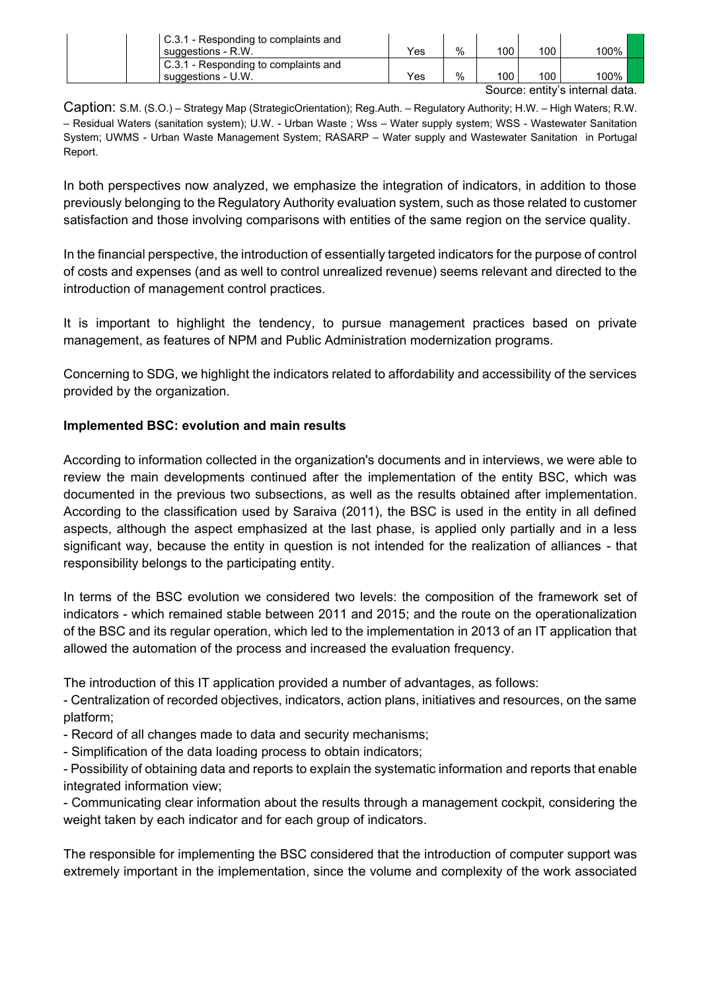| C.3.1 - Responding to complaints and |     |      |     |     |                                  |  |
|--------------------------------------|-----|------|-----|-----|----------------------------------|--|
| suggestions - R.W.                   | Yes | $\%$ | 100 | 100 | 100%                             |  |
| C.3.1 - Responding to complaints and |     |      |     |     |                                  |  |
| suggestions - U.W.                   | Yes | $\%$ | 100 | 100 | 100%                             |  |
|                                      |     |      |     |     | Ostora e califode betean el dete |  |

Source: entity's internal data.

Caption: S.M. (S.O.) – Strategy Map (StrategicOrientation); Reg.Auth. – Regulatory Authority; H.W. – High Waters; R.W. – Residual Waters (sanitation system); U.W. - Urban Waste ; Wss – Water supply system; WSS - Wastewater Sanitation System; UWMS - Urban Waste Management System; RASARP – Water supply and Wastewater Sanitation in Portugal Report.

In both perspectives now analyzed, we emphasize the integration of indicators, in addition to those previously belonging to the Regulatory Authority evaluation system, such as those related to customer satisfaction and those involving comparisons with entities of the same region on the service quality.

In the financial perspective, the introduction of essentially targeted indicators for the purpose of control of costs and expenses (and as well to control unrealized revenue) seems relevant and directed to the introduction of management control practices.

It is important to highlight the tendency, to pursue management practices based on private management, as features of NPM and Public Administration modernization programs.

Concerning to SDG, we highlight the indicators related to affordability and accessibility of the services provided by the organization.

### **Implemented BSC: evolution and main results**

According to information collected in the organization's documents and in interviews, we were able to review the main developments continued after the implementation of the entity BSC, which was documented in the previous two subsections, as well as the results obtained after implementation. According to the classification used by Saraiva (2011), the BSC is used in the entity in all defined aspects, although the aspect emphasized at the last phase, is applied only partially and in a less significant way, because the entity in question is not intended for the realization of alliances - that responsibility belongs to the participating entity.

In terms of the BSC evolution we considered two levels: the composition of the framework set of indicators - which remained stable between 2011 and 2015; and the route on the operationalization of the BSC and its regular operation, which led to the implementation in 2013 of an IT application that allowed the automation of the process and increased the evaluation frequency.

The introduction of this IT application provided a number of advantages, as follows:

- Centralization of recorded objectives, indicators, action plans, initiatives and resources, on the same platform;

- Record of all changes made to data and security mechanisms;

- Simplification of the data loading process to obtain indicators;

- Possibility of obtaining data and reports to explain the systematic information and reports that enable integrated information view;

- Communicating clear information about the results through a management cockpit, considering the weight taken by each indicator and for each group of indicators.

The responsible for implementing the BSC considered that the introduction of computer support was extremely important in the implementation, since the volume and complexity of the work associated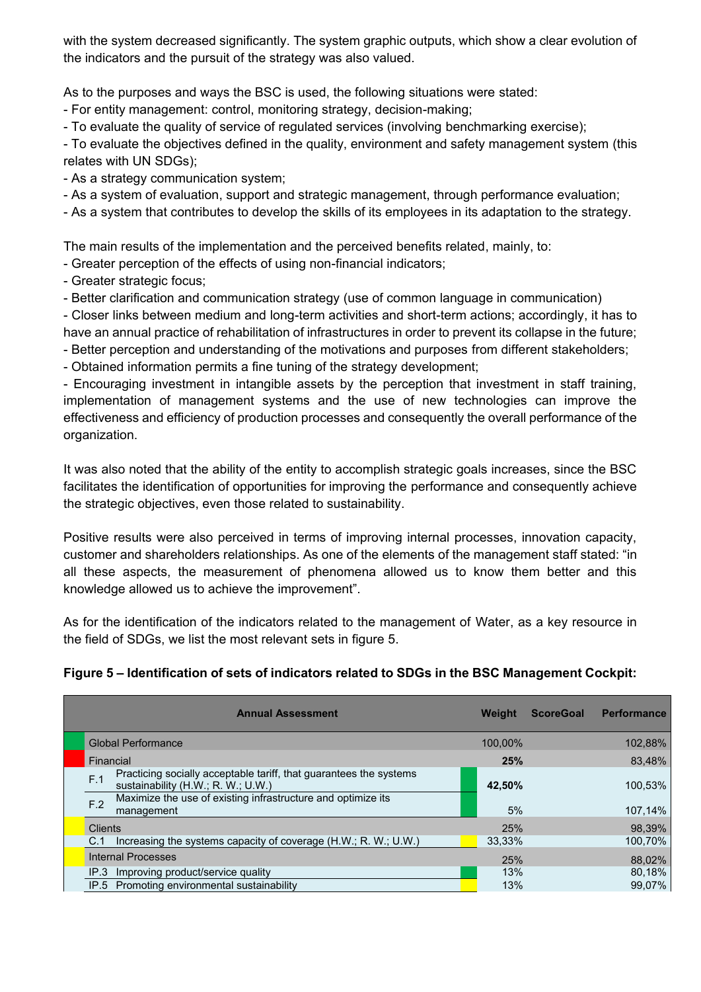with the system decreased significantly. The system graphic outputs, which show a clear evolution of the indicators and the pursuit of the strategy was also valued.

As to the purposes and ways the BSC is used, the following situations were stated:

- For entity management: control, monitoring strategy, decision-making;

- To evaluate the quality of service of regulated services (involving benchmarking exercise);

- To evaluate the objectives defined in the quality, environment and safety management system (this relates with UN SDGs);

- As a strategy communication system;

- As a system of evaluation, support and strategic management, through performance evaluation;

- As a system that contributes to develop the skills of its employees in its adaptation to the strategy.

The main results of the implementation and the perceived benefits related, mainly, to:

- Greater perception of the effects of using non-financial indicators;

- Greater strategic focus;
- Better clarification and communication strategy (use of common language in communication)

- Closer links between medium and long-term activities and short-term actions; accordingly, it has to have an annual practice of rehabilitation of infrastructures in order to prevent its collapse in the future;

- Better perception and understanding of the motivations and purposes from different stakeholders;

- Obtained information permits a fine tuning of the strategy development;

- Encouraging investment in intangible assets by the perception that investment in staff training, implementation of management systems and the use of new technologies can improve the effectiveness and efficiency of production processes and consequently the overall performance of the organization.

It was also noted that the ability of the entity to accomplish strategic goals increases, since the BSC facilitates the identification of opportunities for improving the performance and consequently achieve the strategic objectives, even those related to sustainability.

Positive results were also perceived in terms of improving internal processes, innovation capacity, customer and shareholders relationships. As one of the elements of the management staff stated: "in all these aspects, the measurement of phenomena allowed us to know them better and this knowledge allowed us to achieve the improvement".

As for the identification of the indicators related to the management of Water, as a key resource in the field of SDGs, we list the most relevant sets in figure 5.

**Figure 5 – Identification of sets of indicators related to SDGs in the BSC Management Cockpit:**

| <b>Annual Assessment</b>                                                                                                                                                        | Weight  | <b>Performance</b><br><b>ScoreGoal</b> |
|---------------------------------------------------------------------------------------------------------------------------------------------------------------------------------|---------|----------------------------------------|
| <b>Global Performance</b>                                                                                                                                                       | 100.00% | 102,88%                                |
| Financial                                                                                                                                                                       | 25%     | 83,48%                                 |
| Practicing socially acceptable tariff, that guarantees the systems<br>F.1<br>sustainability (H.W.; R. W.; U.W.)<br>Maximize the use of existing infrastructure and optimize its | 42,50%  | 100,53%                                |
| F.2<br>management                                                                                                                                                               | 5%      | 107,14%                                |
| <b>Clients</b>                                                                                                                                                                  | 25%     | 98.39%                                 |
| Increasing the systems capacity of coverage (H.W.; R. W.; U.W.)<br>C.1                                                                                                          | 33,33%  | 100,70%                                |
| <b>Internal Processes</b>                                                                                                                                                       | 25%     | 88.02%                                 |
| IP.3 Improving product/service quality                                                                                                                                          | 13%     | 80,18%                                 |
| IP.5 Promoting environmental sustainability                                                                                                                                     | 13%     | 99,07%                                 |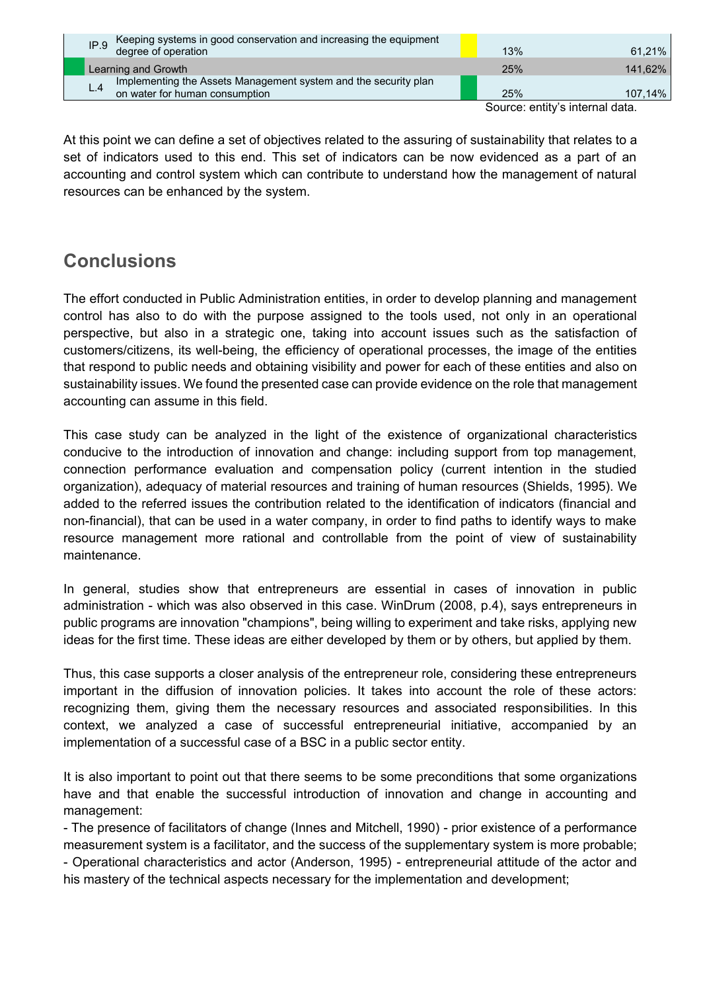| Keeping systems in good conservation and increasing the equipment<br>IP.9<br>degree of operation  | 13% | $61.21\%$  |
|---------------------------------------------------------------------------------------------------|-----|------------|
| Learning and Growth                                                                               | 25% | 141,62%    |
| Implementing the Assets Management system and the security plan<br>on water for human consumption | 25% | $107,14\%$ |
|                                                                                                   |     |            |

Source: entity's internal data.

At this point we can define a set of objectives related to the assuring of sustainability that relates to a set of indicators used to this end. This set of indicators can be now evidenced as a part of an accounting and control system which can contribute to understand how the management of natural resources can be enhanced by the system.

# **Conclusions**

The effort conducted in Public Administration entities, in order to develop planning and management control has also to do with the purpose assigned to the tools used, not only in an operational perspective, but also in a strategic one, taking into account issues such as the satisfaction of customers/citizens, its well-being, the efficiency of operational processes, the image of the entities that respond to public needs and obtaining visibility and power for each of these entities and also on sustainability issues. We found the presented case can provide evidence on the role that management accounting can assume in this field.

This case study can be analyzed in the light of the existence of organizational characteristics conducive to the introduction of innovation and change: including support from top management, connection performance evaluation and compensation policy (current intention in the studied organization), adequacy of material resources and training of human resources (Shields, 1995). We added to the referred issues the contribution related to the identification of indicators (financial and non-financial), that can be used in a water company, in order to find paths to identify ways to make resource management more rational and controllable from the point of view of sustainability maintenance.

In general, studies show that entrepreneurs are essential in cases of innovation in public administration - which was also observed in this case. WinDrum (2008, p.4), says entrepreneurs in public programs are innovation "champions", being willing to experiment and take risks, applying new ideas for the first time. These ideas are either developed by them or by others, but applied by them.

Thus, this case supports a closer analysis of the entrepreneur role, considering these entrepreneurs important in the diffusion of innovation policies. It takes into account the role of these actors: recognizing them, giving them the necessary resources and associated responsibilities. In this context, we analyzed a case of successful entrepreneurial initiative, accompanied by an implementation of a successful case of a BSC in a public sector entity.

It is also important to point out that there seems to be some preconditions that some organizations have and that enable the successful introduction of innovation and change in accounting and management:

- The presence of facilitators of change (Innes and Mitchell, 1990) - prior existence of a performance measurement system is a facilitator, and the success of the supplementary system is more probable; - Operational characteristics and actor (Anderson, 1995) - entrepreneurial attitude of the actor and his mastery of the technical aspects necessary for the implementation and development;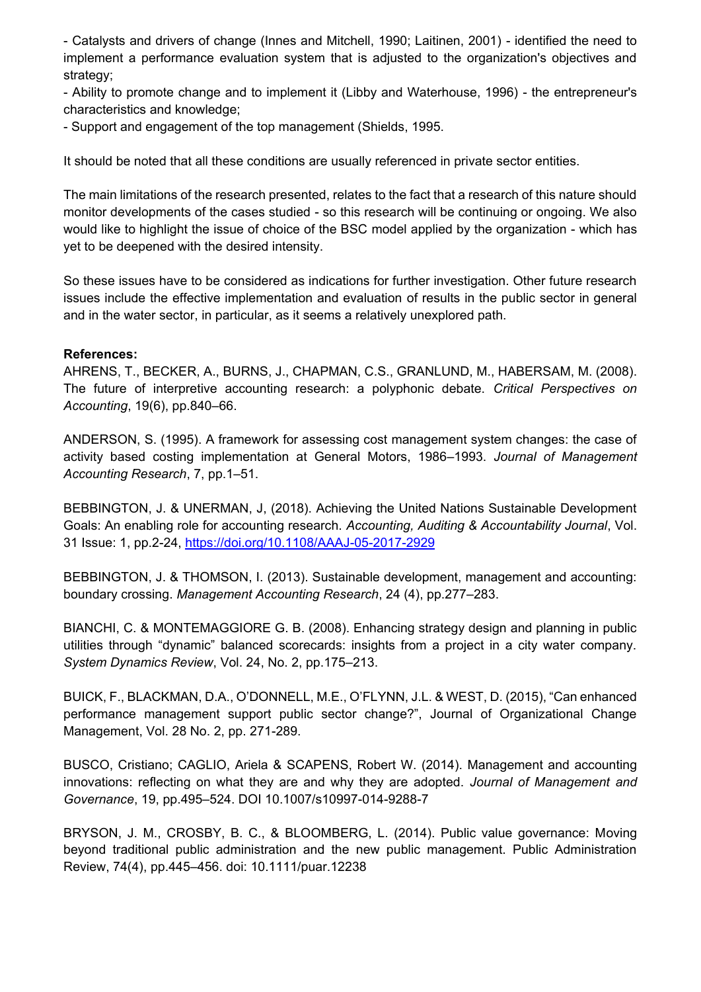- Catalysts and drivers of change (Innes and Mitchell, 1990; Laitinen, 2001) - identified the need to implement a performance evaluation system that is adjusted to the organization's objectives and strategy;

- Ability to promote change and to implement it (Libby and Waterhouse, 1996) - the entrepreneur's characteristics and knowledge;

- Support and engagement of the top management (Shields, 1995.

It should be noted that all these conditions are usually referenced in private sector entities.

The main limitations of the research presented, relates to the fact that a research of this nature should monitor developments of the cases studied - so this research will be continuing or ongoing. We also would like to highlight the issue of choice of the BSC model applied by the organization - which has yet to be deepened with the desired intensity.

So these issues have to be considered as indications for further investigation. Other future research issues include the effective implementation and evaluation of results in the public sector in general and in the water sector, in particular, as it seems a relatively unexplored path.

#### **References:**

AHRENS, T., BECKER, A., BURNS, J., CHAPMAN, C.S., GRANLUND, M., HABERSAM, M. (2008). The future of interpretive accounting research: a polyphonic debate. *Critical Perspectives on Accounting*, 19(6), pp.840–66.

ANDERSON, S. (1995). A framework for assessing cost management system changes: the case of activity based costing implementation at General Motors, 1986–1993. *Journal of Management Accounting Research*, 7, pp.1–51.

BEBBINGTON, J. & UNERMAN, J, (2018). Achieving the United Nations Sustainable Development Goals: An enabling role for accounting research. *Accounting, Auditing & Accountability Journal*, Vol. 31 Issue: 1, pp.2-24, https://doi.org/10.1108/AAAJ-05-2017-2929

BEBBINGTON, J. & THOMSON, I. (2013). Sustainable development, management and accounting: boundary crossing. *Management Accounting Research*, 24 (4), pp.277–283.

BIANCHI, C. & MONTEMAGGIORE G. B. (2008). Enhancing strategy design and planning in public utilities through "dynamic" balanced scorecards: insights from a project in a city water company. *System Dynamics Review*, Vol. 24, No. 2, pp.175–213.

BUICK, F., BLACKMAN, D.A., O'DONNELL, M.E., O'FLYNN, J.L. & WEST, D. (2015), "Can enhanced performance management support public sector change?", Journal of Organizational Change Management, Vol. 28 No. 2, pp. 271-289.

BUSCO, Cristiano; CAGLIO, Ariela & SCAPENS, Robert W. (2014). Management and accounting innovations: reflecting on what they are and why they are adopted. *Journal of Management and Governance*, 19, pp.495–524. DOI 10.1007/s10997-014-9288-7

BRYSON, J. M., CROSBY, B. C., & BLOOMBERG, L. (2014). Public value governance: Moving beyond traditional public administration and the new public management. Public Administration Review, 74(4), pp.445–456. doi: 10.1111/puar.12238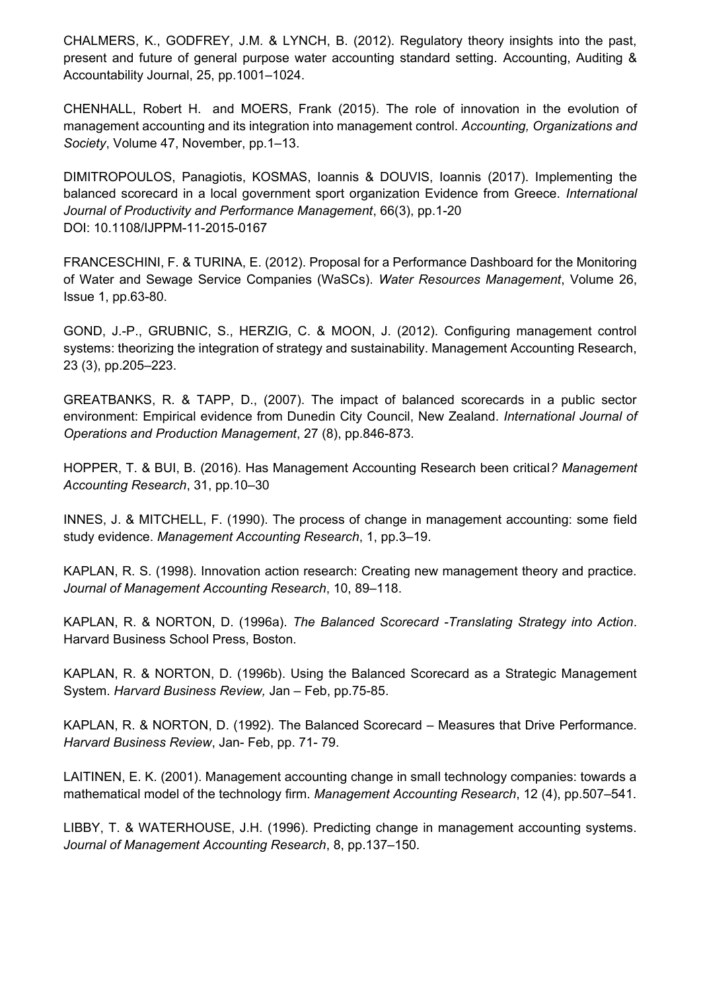CHALMERS, K., GODFREY, J.M. & LYNCH, B. (2012). Regulatory theory insights into the past, present and future of general purpose water accounting standard setting. Accounting, Auditing & Accountability Journal, 25, pp.1001–1024.

CHENHALL, Robert H. and MOERS, Frank (2015). The role of innovation in the evolution of management accounting and its integration into management control. *Accounting, Organizations and Society*, Volume 47, November, pp.1–13.

DIMITROPOULOS, Panagiotis, KOSMAS, Ioannis & DOUVIS, Ioannis (2017). Implementing the balanced scorecard in a local government sport organization Evidence from Greece. *International Journal of Productivity and Performance Management*, 66(3), pp.1-20 DOI: 10.1108/IJPPM-11-2015-0167

FRANCESCHINI, F. & TURINA, E. (2012). Proposal for a Performance Dashboard for the Monitoring of Water and Sewage Service Companies (WaSCs). *Water Resources Management*, Volume 26, Issue 1, pp.63-80.

GOND, J.-P., GRUBNIC, S., HERZIG, C. & MOON, J. (2012). Configuring management control systems: theorizing the integration of strategy and sustainability. Management Accounting Research, 23 (3), pp.205–223.

GREATBANKS, R. & TAPP, D., (2007). The impact of balanced scorecards in a public sector environment: Empirical evidence from Dunedin City Council, New Zealand. *International Journal of Operations and Production Management*, 27 (8), pp.846-873.

HOPPER, T. & BUI, B. (2016). Has Management Accounting Research been critical*? Management Accounting Research*, 31, pp.10–30

INNES, J. & MITCHELL, F. (1990). The process of change in management accounting: some field study evidence. *Management Accounting Research*, 1, pp.3–19.

KAPLAN, R. S. (1998). Innovation action research: Creating new management theory and practice. *Journal of Management Accounting Research*, 10, 89–118.

KAPLAN, R. & NORTON, D. (1996a). *The Balanced Scorecard -Translating Strategy into Action*. Harvard Business School Press, Boston.

KAPLAN, R. & NORTON, D. (1996b). Using the Balanced Scorecard as a Strategic Management System. *Harvard Business Review,* Jan – Feb, pp.75-85.

KAPLAN, R. & NORTON, D. (1992). The Balanced Scorecard – Measures that Drive Performance. *Harvard Business Review*, Jan- Feb, pp. 71- 79.

LAITINEN, E. K. (2001). Management accounting change in small technology companies: towards a mathematical model of the technology firm. *Management Accounting Research*, 12 (4), pp.507–541.

LIBBY, T. & WATERHOUSE, J.H. (1996). Predicting change in management accounting systems. *Journal of Management Accounting Research*, 8, pp.137–150.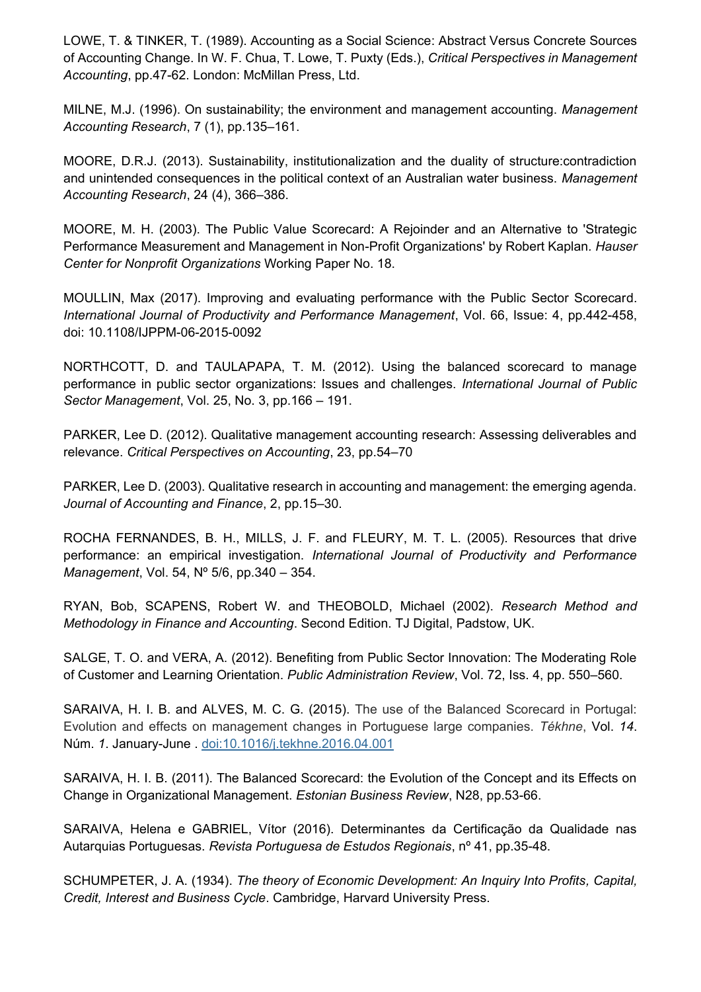LOWE, T. & TINKER, T. (1989). Accounting as a Social Science: Abstract Versus Concrete Sources of Accounting Change. In W. F. Chua, T. Lowe, T. Puxty (Eds.), *Critical Perspectives in Management Accounting*, pp.47-62. London: McMillan Press, Ltd.

MILNE, M.J. (1996). On sustainability; the environment and management accounting. *Management Accounting Research*, 7 (1), pp.135–161.

MOORE, D.R.J. (2013). Sustainability, institutionalization and the duality of structure:contradiction and unintended consequences in the political context of an Australian water business. *Management Accounting Research*, 24 (4), 366–386.

MOORE, M. H. (2003). The Public Value Scorecard: A Rejoinder and an Alternative to 'Strategic Performance Measurement and Management in Non-Profit Organizations' by Robert Kaplan*. Hauser Center for Nonprofit Organizations* Working Paper No. 18.

MOULLIN, Max (2017). Improving and evaluating performance with the Public Sector Scorecard. *International Journal of Productivity and Performance Management*, Vol. 66, Issue: 4, pp.442-458, doi: 10.1108/IJPPM-06-2015-0092

NORTHCOTT, D. and TAULAPAPA, T. M. (2012). Using the balanced scorecard to manage performance in public sector organizations: Issues and challenges. *International Journal of Public Sector Management*, Vol. 25, No. 3, pp.166 – 191.

PARKER, Lee D. (2012). Qualitative management accounting research: Assessing deliverables and relevance. *Critical Perspectives on Accounting*, 23, pp.54–70

PARKER, Lee D. (2003). Qualitative research in accounting and management: the emerging agenda. *Journal of Accounting and Finance*, 2, pp.15–30.

ROCHA FERNANDES, B. H., MILLS, J. F. and FLEURY, M. T. L. (2005). Resources that drive performance: an empirical investigation. *International Journal of Productivity and Performance Management*, Vol. 54, Nº 5/6, pp.340 – 354.

RYAN, Bob, SCAPENS, Robert W. and THEOBOLD, Michael (2002). *Research Method and Methodology in Finance and Accounting*. Second Edition. TJ Digital, Padstow, UK.

SALGE, T. O. and VERA, A. (2012). Benefiting from Public Sector Innovation: The Moderating Role of Customer and Learning Orientation. *Public Administration Review*, Vol. 72, Iss. 4, pp. 550–560.

SARAIVA, H. I. B. and ALVES, M. C. G. (2015). The use of the Balanced Scorecard in Portugal: Evolution and effects on management changes in Portuguese large companies. *Tékhne*, Vol. *14*. Núm. *1*. January-June . doi:10.1016/j.tekhne.2016.04.001

SARAIVA, H. I. B. (2011). The Balanced Scorecard: the Evolution of the Concept and its Effects on Change in Organizational Management. *Estonian Business Review*, N28, pp.53-66.

SARAIVA, Helena e GABRIEL, Vítor (2016). Determinantes da Certificação da Qualidade nas Autarquias Portuguesas. *Revista Portuguesa de Estudos Regionais*, nº 41, pp.35-48.

SCHUMPETER, J. A. (1934). *The theory of Economic Development: An Inquiry Into Profits, Capital, Credit, Interest and Business Cycle*. Cambridge, Harvard University Press.